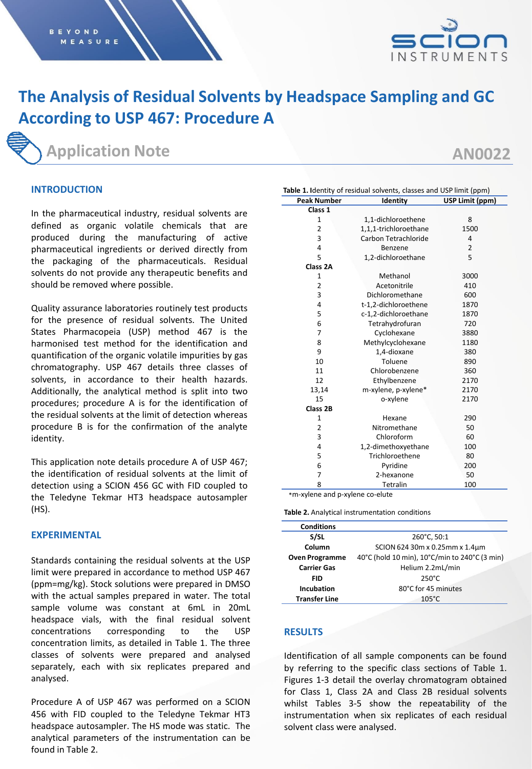

# **The Analysis of Residual Solvents by Headspace Sampling and GC According to USP 467: Procedure A**

## **Application Note**

**AN0022**

## **INTRODUCTION**

In the pharmaceutical industry, residual solvents are defined as organic volatile chemicals that are produced during the manufacturing of active pharmaceutical ingredients or derived directly from the packaging of the pharmaceuticals. Residual solvents do not provide any therapeutic benefits and should be removed where possible.

Quality assurance laboratories routinely test products for the presence of residual solvents. The United States Pharmacopeia (USP) method 467 is the harmonised test method for the identification and quantification of the organic volatile impurities by gas chromatography. USP 467 details three classes of solvents, in accordance to their health hazards. Additionally, the analytical method is split into two procedures; procedure A is for the identification of the residual solvents at the limit of detection whereas procedure B is for the confirmation of the analyte identity.

This application note details procedure A of USP 467; the identification of residual solvents at the limit of detection using a SCION 456 GC with FID coupled to the Teledyne Tekmar HT3 headspace autosampler (HS).

## **EXPERIMENTAL**

Standards containing the residual solvents at the USP limit were prepared in accordance to method USP 467 (ppm=mg/kg). Stock solutions were prepared in DMSO with the actual samples prepared in water. The total sample volume was constant at 6mL in 20mL headspace vials, with the final residual solvent concentrations corresponding to the USP concentration limits, as detailed in Table 1. The three classes of solvents were prepared and analysed separately, each with six replicates prepared and analysed.

Procedure A of USP 467 was performed on a SCION 456 with FID coupled to the Teledyne Tekmar HT3 headspace autosampler. The HS mode was static. The analytical parameters of the instrumentation can be found in Table 2.

| Table 1. Identity of residual solvents, classes and USP limit (ppm) |                       |                 |  |  |  |  |  |
|---------------------------------------------------------------------|-----------------------|-----------------|--|--|--|--|--|
| <b>Peak Number</b>                                                  | Identity              | USP Limit (ppm) |  |  |  |  |  |
| Class 1                                                             |                       |                 |  |  |  |  |  |
| 1                                                                   | 1,1-dichloroethene    | 8               |  |  |  |  |  |
| $\overline{2}$                                                      | 1,1,1-trichloroethane | 1500            |  |  |  |  |  |
| 3                                                                   | Carbon Tetrachloride  | 4               |  |  |  |  |  |
| 4                                                                   | Benzene               | $\overline{2}$  |  |  |  |  |  |
| 5                                                                   | 1,2-dichloroethane    | 5               |  |  |  |  |  |
| Class 2A                                                            |                       |                 |  |  |  |  |  |
| 1                                                                   | Methanol              | 3000            |  |  |  |  |  |
| $\overline{2}$                                                      | Acetonitrile          | 410             |  |  |  |  |  |
| 3                                                                   | Dichloromethane       | 600             |  |  |  |  |  |
| 4                                                                   | t-1,2-dichloroethene  | 1870            |  |  |  |  |  |
| 5                                                                   | c-1,2-dichloroethane  | 1870            |  |  |  |  |  |
| 6                                                                   | Tetrahydrofuran       | 720             |  |  |  |  |  |
| 7                                                                   | Cyclohexane           | 3880            |  |  |  |  |  |
| 8                                                                   | Methylcyclohexane     | 1180            |  |  |  |  |  |
| 9                                                                   | 1,4-dioxane           | 380             |  |  |  |  |  |
| 10                                                                  | Toluene               | 890             |  |  |  |  |  |
| 11                                                                  | Chlorobenzene         | 360             |  |  |  |  |  |
| 12                                                                  | Ethylbenzene          | 2170            |  |  |  |  |  |
| 13,14                                                               | m-xylene, p-xylene*   | 2170            |  |  |  |  |  |
| 15                                                                  | o-xylene              | 2170            |  |  |  |  |  |
| Class 2B                                                            |                       |                 |  |  |  |  |  |
| $\mathbf{1}$                                                        | Hexane                | 290             |  |  |  |  |  |
| $\overline{2}$                                                      | Nitromethane          | 50              |  |  |  |  |  |
| 3                                                                   | Chloroform            | 60              |  |  |  |  |  |
| 4                                                                   | 1,2-dimethoxyethane   | 100             |  |  |  |  |  |
| 5                                                                   | Trichloroethene       | 80              |  |  |  |  |  |
| 6                                                                   | Pyridine              | 200             |  |  |  |  |  |
| $\overline{7}$                                                      | 2-hexanone            | 50              |  |  |  |  |  |
| 8                                                                   | Tetralin              | 100             |  |  |  |  |  |
| л.                                                                  | ×.<br>$\mathbf{L}$    |                 |  |  |  |  |  |

\*m-xylene and p-xylene co-elute

**Table 2.** Analytical instrumentation conditions

| <b>Conditions</b>     |                                               |
|-----------------------|-----------------------------------------------|
| S/SL                  | 260°C, 50:1                                   |
| Column                | SCION 624 30m x 0.25mm x 1.4um                |
| <b>Oven Programme</b> | 40°C (hold 10 min), 10°C/min to 240°C (3 min) |
| <b>Carrier Gas</b>    | Helium 2.2mL/min                              |
| FID                   | $250^{\circ}$ C                               |
| Incubation            | 80°C for 45 minutes                           |
| <b>Transfer Line</b>  | $105^{\circ}$ C                               |

## **RESULTS**

Identification of all sample components can be found by referring to the specific class sections of Table 1. Figures 1-3 detail the overlay chromatogram obtained for Class 1, Class 2A and Class 2B residual solvents whilst Tables 3-5 show the repeatability of the instrumentation when six replicates of each residual solvent class were analysed.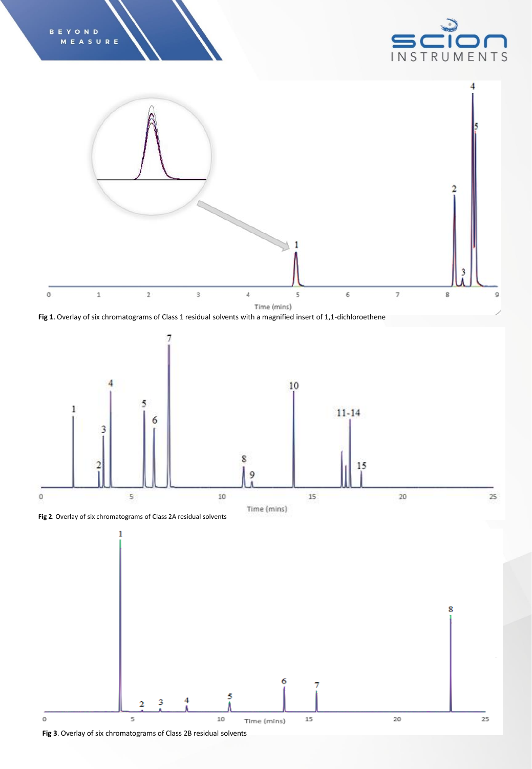





**Fig 1**. Overlay of six chromatograms of Class 1 residual solvents with a magnified insert of 1,1-dichloroethene